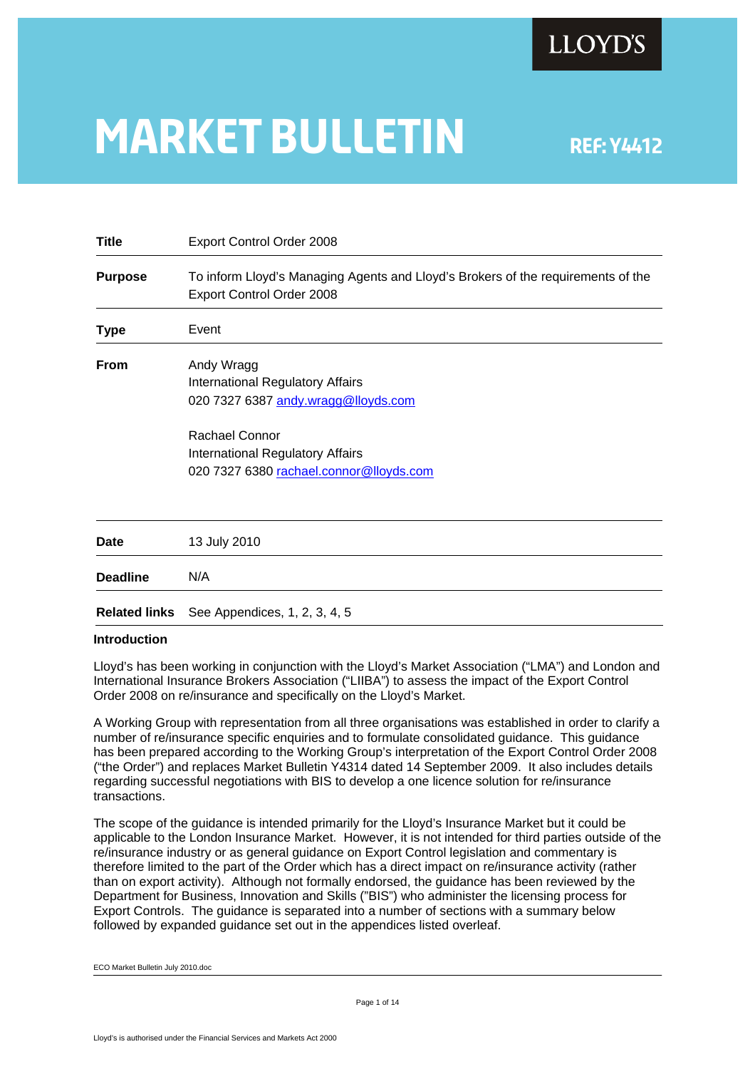

# **MARKET BULLETIN** REF: Y4412

**Title** Export Control Order 2008 **Purpose** To inform Lloyd's Managing Agents and Lloyd's Brokers of the requirements of the Export Control Order 2008 **Type** Event **From** Andy Wragg International Regulatory Affairs 020 7327 6387 [andy.wragg@lloyds.com](mailto:andy.wragg@lloyds.com) Rachael Connor International Regulatory Affairs 020 7327 6380 [rachael.connor@lloyds.com](mailto:rachael.connor@lloyds.com) **Date** 13 July 2010 **Deadline** N/A **Related links** See Appendices, 1, 2, 3, 4, 5

#### **Introduction**

Lloyd's has been working in conjunction with the Lloyd's Market Association ("LMA") and London and International Insurance Brokers Association ("LIIBA") to assess the impact of the Export Control Order 2008 on re/insurance and specifically on the Lloyd's Market.

A Working Group with representation from all three organisations was established in order to clarify a number of re/insurance specific enquiries and to formulate consolidated guidance. This guidance has been prepared according to the Working Group's interpretation of the Export Control Order 2008 ("the Order") and replaces Market Bulletin Y4314 dated 14 September 2009. It also includes details regarding successful negotiations with BIS to develop a one licence solution for re/insurance transactions.

The scope of the guidance is intended primarily for the Lloyd's Insurance Market but it could be applicable to the London Insurance Market. However, it is not intended for third parties outside of the re/insurance industry or as general guidance on Export Control legislation and commentary is therefore limited to the part of the Order which has a direct impact on re/insurance activity (rather than on export activity). Although not formally endorsed, the guidance has been reviewed by the Department for Business, Innovation and Skills ("BIS") who administer the licensing process for Export Controls. The guidance is separated into a number of sections with a summary below followed by expanded guidance set out in the appendices listed overleaf.

ECO Market Bulletin July 2010.doc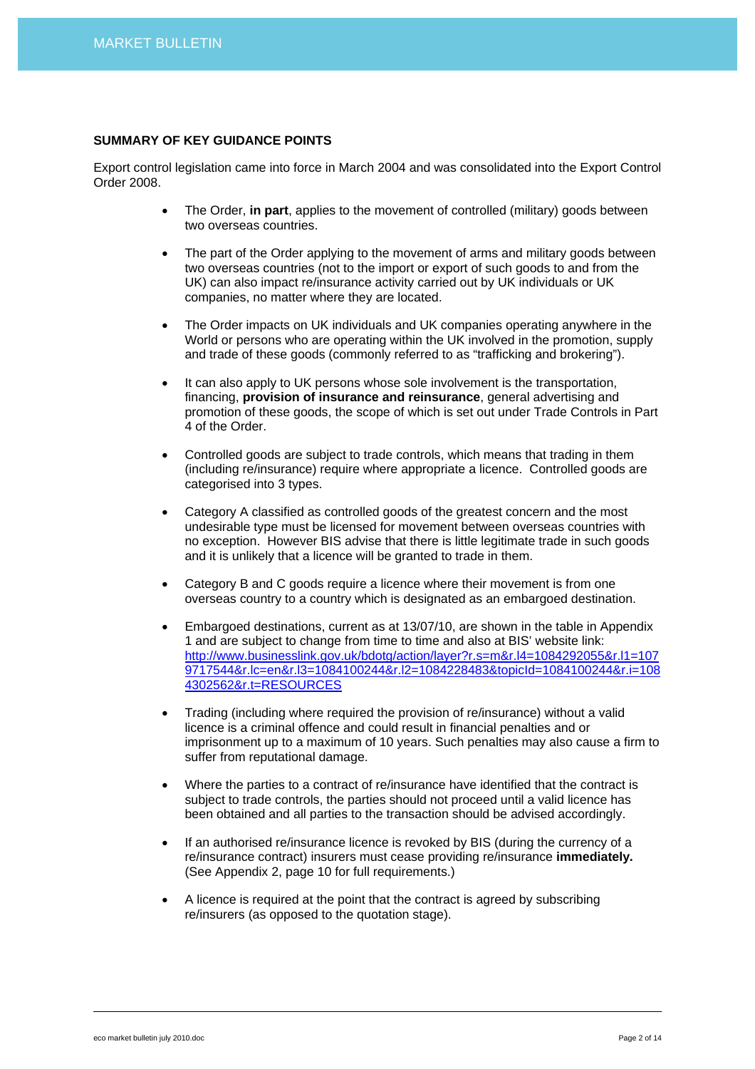# **SUMMARY OF KEY GUIDANCE POINTS**

Export control legislation came into force in March 2004 and was consolidated into the Export Control Order 2008.

- The Order, **in part**, applies to the movement of controlled (military) goods between two overseas countries.
- The part of the Order applying to the movement of arms and military goods between two overseas countries (not to the import or export of such goods to and from the UK) can also impact re/insurance activity carried out by UK individuals or UK companies, no matter where they are located.
- The Order impacts on UK individuals and UK companies operating anywhere in the World or persons who are operating within the UK involved in the promotion, supply and trade of these goods (commonly referred to as "trafficking and brokering").
- It can also apply to UK persons whose sole involvement is the transportation, financing, **provision of insurance and reinsurance**, general advertising and promotion of these goods, the scope of which is set out under Trade Controls in Part 4 of the Order.
- Controlled goods are subject to trade controls, which means that trading in them (including re/insurance) require where appropriate a licence. Controlled goods are categorised into 3 types.
- Category A classified as controlled goods of the greatest concern and the most undesirable type must be licensed for movement between overseas countries with no exception. However BIS advise that there is little legitimate trade in such goods and it is unlikely that a licence will be granted to trade in them.
- Category B and C goods require a licence where their movement is from one overseas country to a country which is designated as an embargoed destination.
- Embargoed destinations, current as at 13/07/10, are shown in the table in Appendix 1 and are subject to change from time to time and also at BIS' website link: [http://www.businesslink.gov.uk/bdotg/action/layer?r.s=m&r.l4=1084292055&r.l1=107](http://www.businesslink.gov.uk/bdotg/action/layer?r.s=m&r.l4=1084292055&r.l1=1079717544&r.lc=en&r.l3=1084100244&r.l2=1084228483&topicId=1084100244&r.i=1084302562&r.t=RESOURCES) [9717544&r.lc=en&r.l3=1084100244&r.l2=1084228483&topicId=1084100244&r.i=108](http://www.businesslink.gov.uk/bdotg/action/layer?r.s=m&r.l4=1084292055&r.l1=1079717544&r.lc=en&r.l3=1084100244&r.l2=1084228483&topicId=1084100244&r.i=1084302562&r.t=RESOURCES) [4302562&r.t=RESOURCES](http://www.businesslink.gov.uk/bdotg/action/layer?r.s=m&r.l4=1084292055&r.l1=1079717544&r.lc=en&r.l3=1084100244&r.l2=1084228483&topicId=1084100244&r.i=1084302562&r.t=RESOURCES)
- Trading (including where required the provision of re/insurance) without a valid licence is a criminal offence and could result in financial penalties and or imprisonment up to a maximum of 10 years. Such penalties may also cause a firm to suffer from reputational damage.
- Where the parties to a contract of re/insurance have identified that the contract is subject to trade controls, the parties should not proceed until a valid licence has been obtained and all parties to the transaction should be advised accordingly.
- If an authorised re/insurance licence is revoked by BIS (during the currency of a re/insurance contract) insurers must cease providing re/insurance **immediately.** (See Appendix 2, page 10 for full requirements.)
- A licence is required at the point that the contract is agreed by subscribing re/insurers (as opposed to the quotation stage).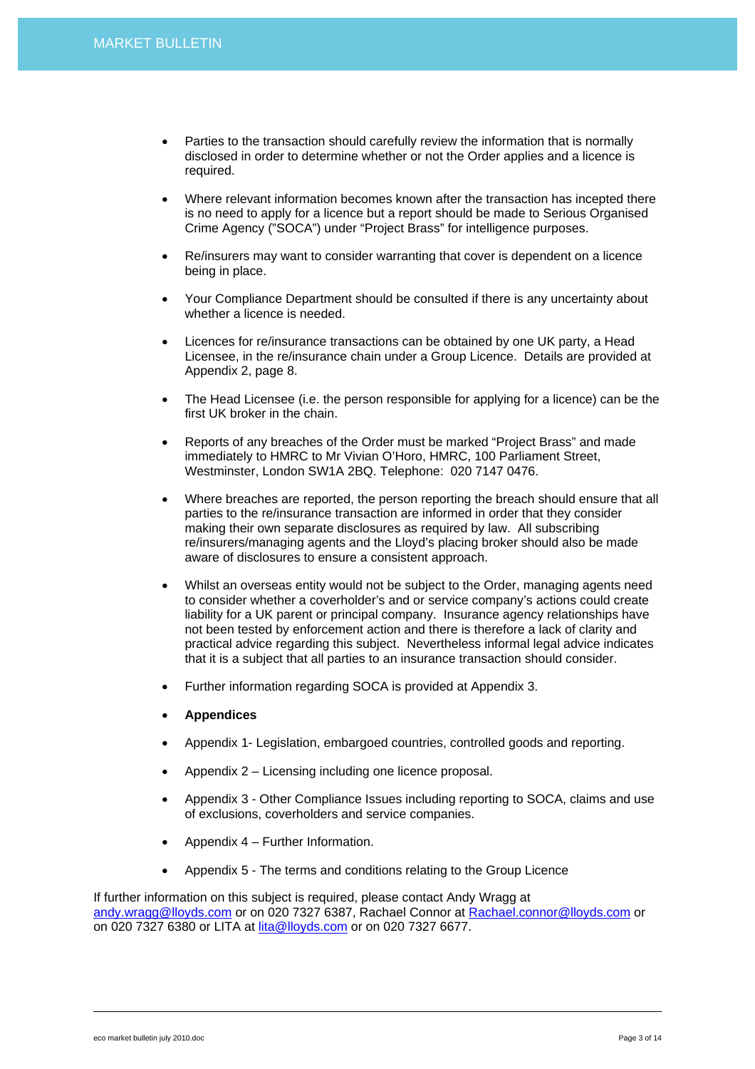- Parties to the transaction should carefully review the information that is normally disclosed in order to determine whether or not the Order applies and a licence is required.
- Where relevant information becomes known after the transaction has incepted there is no need to apply for a licence but a report should be made to Serious Organised Crime Agency ("SOCA") under "Project Brass" for intelligence purposes.
- Re/insurers may want to consider warranting that cover is dependent on a licence being in place.
- Your Compliance Department should be consulted if there is any uncertainty about whether a licence is needed.
- Licences for re/insurance transactions can be obtained by one UK party, a Head Licensee, in the re/insurance chain under a Group Licence. Details are provided at Appendix 2, page 8.
- The Head Licensee (i.e. the person responsible for applying for a licence) can be the first UK broker in the chain.
- Reports of any breaches of the Order must be marked "Project Brass" and made immediately to HMRC to Mr Vivian O'Horo, HMRC, 100 Parliament Street, Westminster, London SW1A 2BQ. Telephone: 020 7147 0476.
- Where breaches are reported, the person reporting the breach should ensure that all parties to the re/insurance transaction are informed in order that they consider making their own separate disclosures as required by law. All subscribing re/insurers/managing agents and the Lloyd's placing broker should also be made aware of disclosures to ensure a consistent approach.
- Whilst an overseas entity would not be subject to the Order, managing agents need to consider whether a coverholder's and or service company's actions could create liability for a UK parent or principal company. Insurance agency relationships have not been tested by enforcement action and there is therefore a lack of clarity and practical advice regarding this subject. Nevertheless informal legal advice indicates that it is a subject that all parties to an insurance transaction should consider.
- Further information regarding SOCA is provided at Appendix 3.
- **Appendices**
- Appendix 1- Legislation, embargoed countries, controlled goods and reporting.
- Appendix 2 Licensing including one licence proposal.
- Appendix 3 Other Compliance Issues including reporting to SOCA, claims and use of exclusions, coverholders and service companies.
- Appendix 4 Further Information.
- Appendix 5 The terms and conditions relating to the Group Licence

If further information on this subject is required, please contact Andy Wragg at [andy.wragg@lloyds.com](mailto:andy.wragg@lloyds.com) or on 020 7327 6387, Rachael Connor at [Rachael.connor@lloyds.com](mailto:Rachael.connor@lloyds.com) or on 020 7327 6380 or LITA at [lita@lloyds.com](mailto:lita@lloyds.com) or on 020 7327 6677.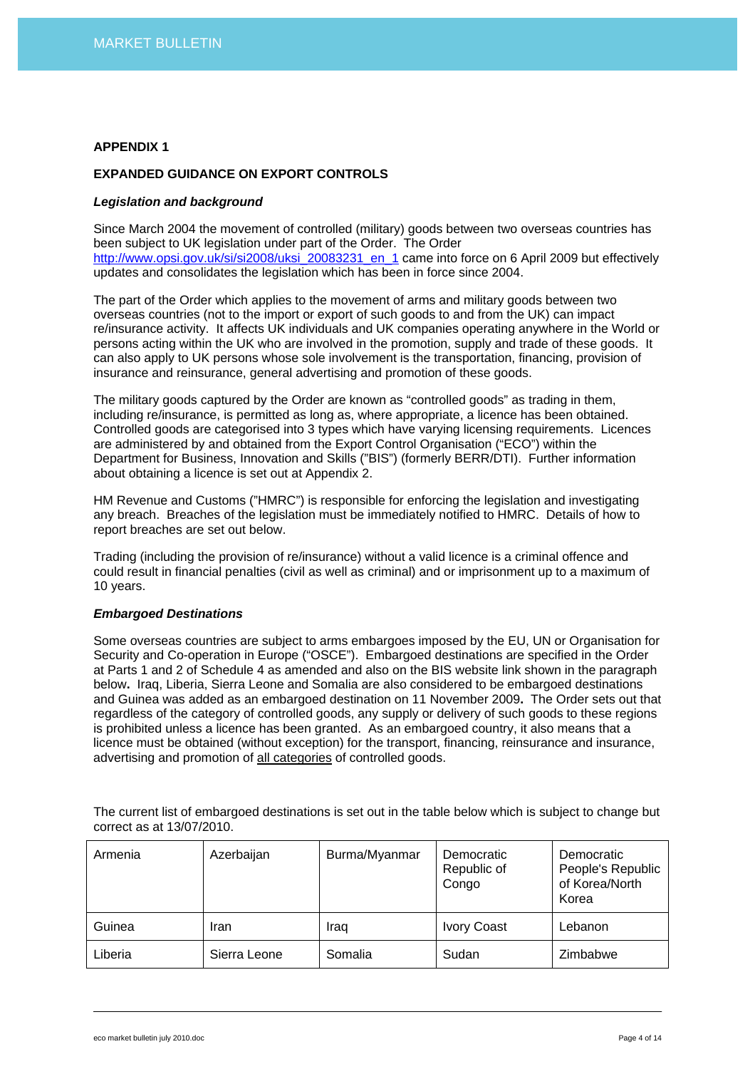# **EXPANDED GUIDANCE ON EXPORT CONTROLS**

#### *Legislation and background*

Since March 2004 the movement of controlled (military) goods between two overseas countries has been subject to UK legislation under part of the Order. The Order [http://www.opsi.gov.uk/si/si2008/uksi\\_20083231\\_en\\_1](http://www.opsi.gov.uk/si/si2008/uksi_20083231_en_1) came into force on 6 April 2009 but effectively updates and consolidates the legislation which has been in force since 2004.

The part of the Order which applies to the movement of arms and military goods between two overseas countries (not to the import or export of such goods to and from the UK) can impact re/insurance activity. It affects UK individuals and UK companies operating anywhere in the World or persons acting within the UK who are involved in the promotion, supply and trade of these goods. It can also apply to UK persons whose sole involvement is the transportation, financing, provision of insurance and reinsurance, general advertising and promotion of these goods.

The military goods captured by the Order are known as "controlled goods" as trading in them, including re/insurance, is permitted as long as, where appropriate, a licence has been obtained. Controlled goods are categorised into 3 types which have varying licensing requirements. Licences are administered by and obtained from the Export Control Organisation ("ECO") within the Department for Business, Innovation and Skills ("BIS") (formerly BERR/DTI). Further information about obtaining a licence is set out at Appendix 2.

HM Revenue and Customs ("HMRC") is responsible for enforcing the legislation and investigating any breach. Breaches of the legislation must be immediately notified to HMRC. Details of how to report breaches are set out below.

Trading (including the provision of re/insurance) without a valid licence is a criminal offence and could result in financial penalties (civil as well as criminal) and or imprisonment up to a maximum of 10 years.

## *Embargoed Destinations*

Some overseas countries are subject to arms embargoes imposed by the EU, UN or Organisation for Security and Co-operation in Europe ("OSCE"). Embargoed destinations are specified in the Order at Parts 1 and 2 of Schedule 4 as amended and also on the BIS website link shown in the paragraph below**.** Iraq, Liberia, Sierra Leone and Somalia are also considered to be embargoed destinations and Guinea was added as an embargoed destination on 11 November 2009**.** The Order sets out that regardless of the category of controlled goods, any supply or delivery of such goods to these regions is prohibited unless a licence has been granted. As an embargoed country, it also means that a licence must be obtained (without exception) for the transport, financing, reinsurance and insurance, advertising and promotion of all categories of controlled goods.

The current list of embargoed destinations is set out in the table below which is subject to change but correct as at 13/07/2010.

| Armenia | Azerbaijan   | Burma/Myanmar | Democratic<br>Republic of<br>Congo | Democratic<br>People's Republic<br>of Korea/North<br>Korea |
|---------|--------------|---------------|------------------------------------|------------------------------------------------------------|
| Guinea  | Iran         | Iraq          | <b>Ivory Coast</b>                 | Lebanon                                                    |
| Liberia | Sierra Leone | Somalia       | Sudan                              | Zimbabwe                                                   |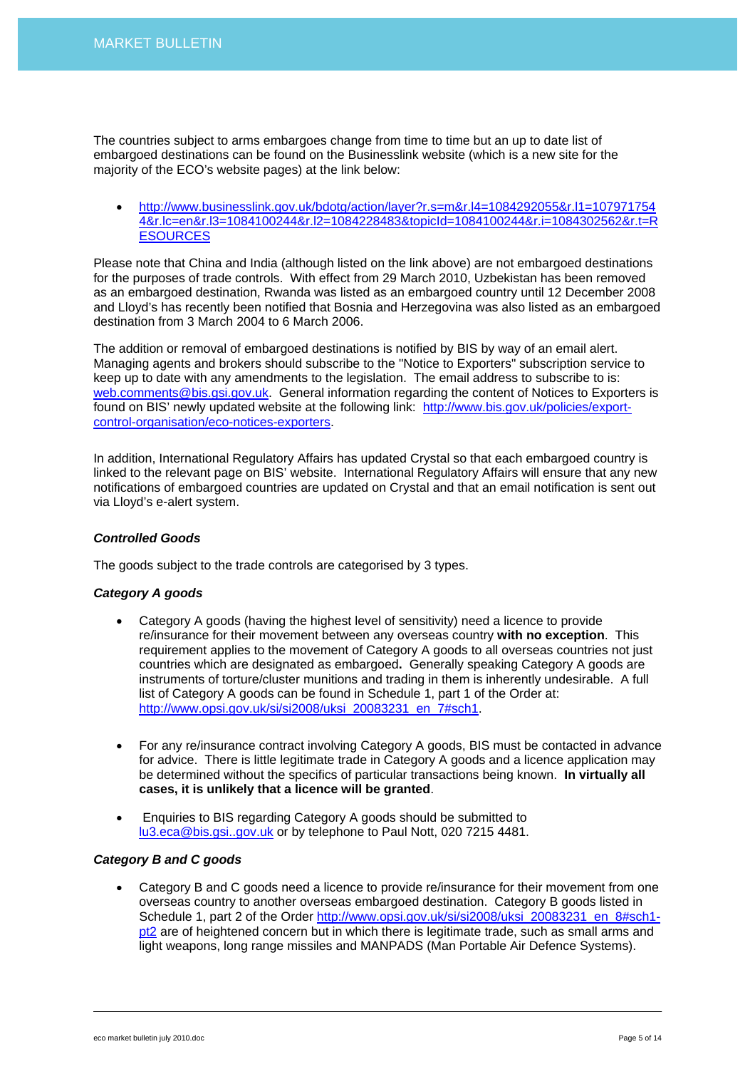The countries subject to arms embargoes change from time to time but an up to date list of embargoed destinations can be found on the Businesslink website (which is a new site for the majority of the ECO's website pages) at the link below:

• [http://www.businesslink.gov.uk/bdotg/action/layer?r.s=m&r.l4=1084292055&r.l1=107971754](http://www.businesslink.gov.uk/bdotg/action/layer?r.s=m&r.l4=1084292055&r.l1=1079717544&r.lc=en&r.l3=1084100244&r.l2=1084228483&topicId=1084100244&r.i=1084302562&r.t=RESOURCES) [4&r.lc=en&r.l3=1084100244&r.l2=1084228483&topicId=1084100244&r.i=1084302562&r.t=R](http://www.businesslink.gov.uk/bdotg/action/layer?r.s=m&r.l4=1084292055&r.l1=1079717544&r.lc=en&r.l3=1084100244&r.l2=1084228483&topicId=1084100244&r.i=1084302562&r.t=RESOURCES) **[ESOURCES](http://www.businesslink.gov.uk/bdotg/action/layer?r.s=m&r.l4=1084292055&r.l1=1079717544&r.lc=en&r.l3=1084100244&r.l2=1084228483&topicId=1084100244&r.i=1084302562&r.t=RESOURCES)** 

Please note that China and India (although listed on the link above) are not embargoed destinations for the purposes of trade controls. With effect from 29 March 2010, Uzbekistan has been removed as an embargoed destination, Rwanda was listed as an embargoed country until 12 December 2008 and Lloyd's has recently been notified that Bosnia and Herzegovina was also listed as an embargoed destination from 3 March 2004 to 6 March 2006.

The addition or removal of embargoed destinations is notified by BIS by way of an email alert. Managing agents and brokers should subscribe to the "Notice to Exporters" subscription service to keep up to date with any amendments to the legislation. The email address to subscribe to is: [web.comments@bis.gsi.gov.uk.](mailto:web.comments@bis.gsi.gov.uk) General information regarding the content of Notices to Exporters is found on BIS' newly updated website at the following link: [http://www.bis.gov.uk/policies/export](http://www.bis.gov.uk/policies/export-control-organisation/eco-notices-exporters)[control-organisation/eco-notices-exporters](http://www.bis.gov.uk/policies/export-control-organisation/eco-notices-exporters).

In addition, International Regulatory Affairs has updated Crystal so that each embargoed country is linked to the relevant page on BIS' website. International Regulatory Affairs will ensure that any new notifications of embargoed countries are updated on Crystal and that an email notification is sent out via Lloyd's e-alert system.

# *Controlled Goods*

The goods subject to the trade controls are categorised by 3 types.

## *Category A goods*

- Category A goods (having the highest level of sensitivity) need a licence to provide re/insurance for their movement between any overseas country **with no exception**. This requirement applies to the movement of Category A goods to all overseas countries not just countries which are designated as embargoed**.** Generally speaking Category A goods are instruments of torture/cluster munitions and trading in them is inherently undesirable. A full list of Category A goods can be found in Schedule 1, part 1 of the Order at: [http://www.opsi.gov.uk/si/si2008/uksi\\_20083231\\_en\\_7#sch1](http://www.opsi.gov.uk/si/si2008/uksi_20083231_en_7#sch1).
- For any re/insurance contract involving Category A goods, BIS must be contacted in advance for advice. There is little legitimate trade in Category A goods and a licence application may be determined without the specifics of particular transactions being known. **In virtually all cases, it is unlikely that a licence will be granted**.
- Enquiries to BIS regarding Category A goods should be submitted to [lu3.eca@bis.gsi..gov.uk](mailto:lu3.eca@bis.gsi..gov.uk) or by telephone to Paul Nott, 020 7215 4481.

# *Category B and C goods*

• Category B and C goods need a licence to provide re/insurance for their movement from one overseas country to another overseas embargoed destination. Category B goods listed in Schedule 1, part 2 of the Order [http://www.opsi.gov.uk/si/si2008/uksi\\_20083231\\_en\\_8#sch1](http://www.opsi.gov.uk/si/si2008/uksi_20083231_en_8#sch1-pt2) [pt2](http://www.opsi.gov.uk/si/si2008/uksi_20083231_en_8#sch1-pt2) are of heightened concern but in which there is legitimate trade, such as small arms and light weapons, long range missiles and MANPADS (Man Portable Air Defence Systems).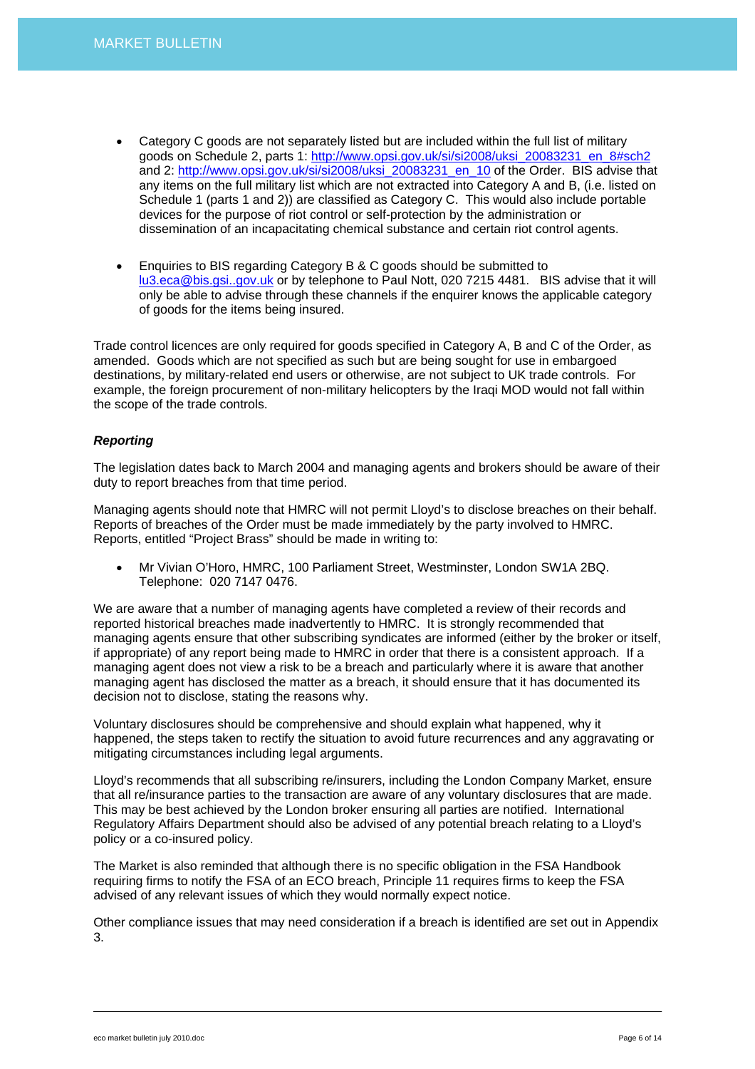- Category C goods are not separately listed but are included within the full list of military goods on Schedule 2, parts 1: [http://www.opsi.gov.uk/si/si2008/uksi\\_20083231\\_en\\_8#sch2](http://www.opsi.gov.uk/si/si2008/uksi_20083231_en_8#sch2) and 2: [http://www.opsi.gov.uk/si/si2008/uksi\\_20083231\\_en\\_10](http://www.opsi.gov.uk/si/si2008/uksi_20083231_en_10) of the Order. BIS advise that any items on the full military list which are not extracted into Category A and B, (i.e. listed on Schedule 1 (parts 1 and 2)) are classified as Category C. This would also include portable devices for the purpose of riot control or self-protection by the administration or dissemination of an incapacitating chemical substance and certain riot control agents.
- Enquiries to BIS regarding Category B & C goods should be submitted to [lu3.eca@bis.gsi..gov.uk](mailto:lu3.eca@bis.gsi..gov.uk) or by telephone to Paul Nott, 020 7215 4481. BIS advise that it will only be able to advise through these channels if the enquirer knows the applicable category of goods for the items being insured.

Trade control licences are only required for goods specified in Category A, B and C of the Order, as amended. Goods which are not specified as such but are being sought for use in embargoed destinations, by military-related end users or otherwise, are not subject to UK trade controls. For example, the foreign procurement of non-military helicopters by the Iraqi MOD would not fall within the scope of the trade controls.

# *Reporting*

The legislation dates back to March 2004 and managing agents and brokers should be aware of their duty to report breaches from that time period.

Managing agents should note that HMRC will not permit Lloyd's to disclose breaches on their behalf. Reports of breaches of the Order must be made immediately by the party involved to HMRC. Reports, entitled "Project Brass" should be made in writing to:

• Mr Vivian O'Horo, HMRC, 100 Parliament Street, Westminster, London SW1A 2BQ. Telephone: 020 7147 0476.

We are aware that a number of managing agents have completed a review of their records and reported historical breaches made inadvertently to HMRC. It is strongly recommended that managing agents ensure that other subscribing syndicates are informed (either by the broker or itself, if appropriate) of any report being made to HMRC in order that there is a consistent approach. If a managing agent does not view a risk to be a breach and particularly where it is aware that another managing agent has disclosed the matter as a breach, it should ensure that it has documented its decision not to disclose, stating the reasons why.

Voluntary disclosures should be comprehensive and should explain what happened, why it happened, the steps taken to rectify the situation to avoid future recurrences and any aggravating or mitigating circumstances including legal arguments.

Lloyd's recommends that all subscribing re/insurers, including the London Company Market, ensure that all re/insurance parties to the transaction are aware of any voluntary disclosures that are made. This may be best achieved by the London broker ensuring all parties are notified. International Regulatory Affairs Department should also be advised of any potential breach relating to a Lloyd's policy or a co-insured policy.

The Market is also reminded that although there is no specific obligation in the FSA Handbook requiring firms to notify the FSA of an ECO breach, Principle 11 requires firms to keep the FSA advised of any relevant issues of which they would normally expect notice.

Other compliance issues that may need consideration if a breach is identified are set out in Appendix 3.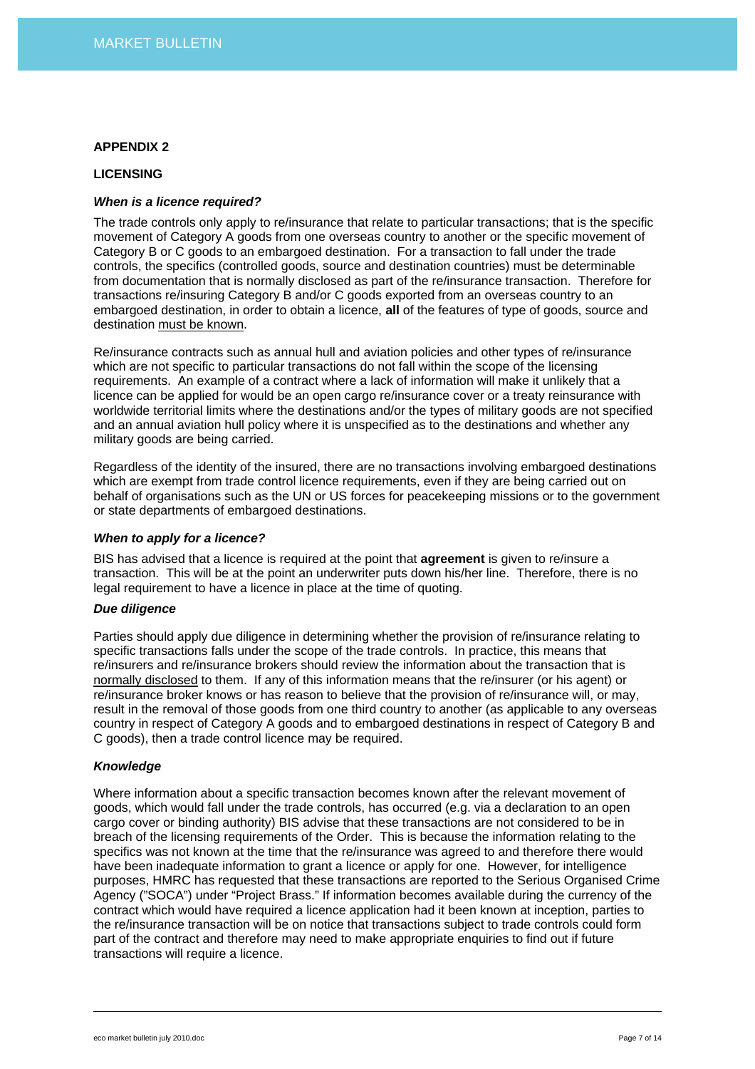#### **LICENSING**

## *When is a licence required?*

The trade controls only apply to re/insurance that relate to particular transactions; that is the specific movement of Category A goods from one overseas country to another or the specific movement of Category B or C goods to an embargoed destination. For a transaction to fall under the trade controls, the specifics (controlled goods, source and destination countries) must be determinable from documentation that is normally disclosed as part of the re/insurance transaction. Therefore for transactions re/insuring Category B and/or C goods exported from an overseas country to an embargoed destination, in order to obtain a licence, **all** of the features of type of goods, source and destination must be known.

Re/insurance contracts such as annual hull and aviation policies and other types of re/insurance which are not specific to particular transactions do not fall within the scope of the licensing requirements. An example of a contract where a lack of information will make it unlikely that a licence can be applied for would be an open cargo re/insurance cover or a treaty reinsurance with worldwide territorial limits where the destinations and/or the types of military goods are not specified and an annual aviation hull policy where it is unspecified as to the destinations and whether any military goods are being carried.

Regardless of the identity of the insured, there are no transactions involving embargoed destinations which are exempt from trade control licence requirements, even if they are being carried out on behalf of organisations such as the UN or US forces for peacekeeping missions or to the government or state departments of embargoed destinations.

#### *When to apply for a licence?*

BIS has advised that a licence is required at the point that **agreement** is given to re/insure a transaction. This will be at the point an underwriter puts down his/her line. Therefore, there is no legal requirement to have a licence in place at the time of quoting.

## *Due diligence*

Parties should apply due diligence in determining whether the provision of re/insurance relating to specific transactions falls under the scope of the trade controls. In practice, this means that re/insurers and re/insurance brokers should review the information about the transaction that is normally disclosed to them. If any of this information means that the re/insurer (or his agent) or re/insurance broker knows or has reason to believe that the provision of re/insurance will, or may, result in the removal of those goods from one third country to another (as applicable to any overseas country in respect of Category A goods and to embargoed destinations in respect of Category B and C goods), then a trade control licence may be required.

## *Knowledge*

Where information about a specific transaction becomes known after the relevant movement of goods, which would fall under the trade controls, has occurred (e.g. via a declaration to an open cargo cover or binding authority) BIS advise that these transactions are not considered to be in breach of the licensing requirements of the Order. This is because the information relating to the specifics was not known at the time that the re/insurance was agreed to and therefore there would have been inadequate information to grant a licence or apply for one. However, for intelligence purposes, HMRC has requested that these transactions are reported to the Serious Organised Crime Agency ("SOCA") under "Project Brass." If information becomes available during the currency of the contract which would have required a licence application had it been known at inception, parties to the re/insurance transaction will be on notice that transactions subject to trade controls could form part of the contract and therefore may need to make appropriate enquiries to find out if future transactions will require a licence.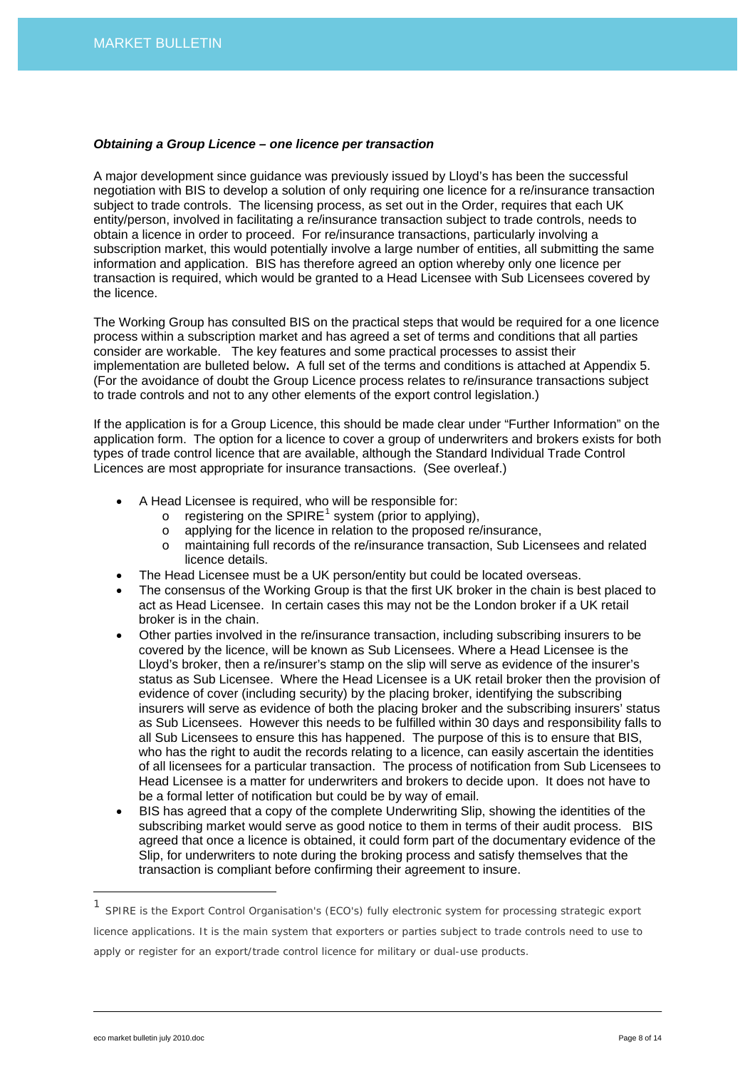#### *Obtaining a Group Licence – one licence per transaction*

A major development since guidance was previously issued by Lloyd's has been the successful negotiation with BIS to develop a solution of only requiring one licence for a re/insurance transaction subject to trade controls. The licensing process, as set out in the Order, requires that each UK entity/person, involved in facilitating a re/insurance transaction subject to trade controls, needs to obtain a licence in order to proceed. For re/insurance transactions, particularly involving a subscription market, this would potentially involve a large number of entities, all submitting the same information and application. BIS has therefore agreed an option whereby only one licence per transaction is required, which would be granted to a Head Licensee with Sub Licensees covered by the licence.

The Working Group has consulted BIS on the practical steps that would be required for a one licence process within a subscription market and has agreed a set of terms and conditions that all parties consider are workable. The key features and some practical processes to assist their implementation are bulleted below**.** A full set of the terms and conditions is attached at Appendix 5. (For the avoidance of doubt the Group Licence process relates to re/insurance transactions subject to trade controls and not to any other elements of the export control legislation.)

If the application is for a Group Licence, this should be made clear under "Further Information" on the application form. The option for a licence to cover a group of underwriters and brokers exists for both types of trade control licence that are available, although the Standard Individual Trade Control Licences are most appropriate for insurance transactions. (See overleaf.)

- A Head Licensee is required, who will be responsible for:
	- $\circ$  registering on the SPIRE<sup>[1](#page-7-0)</sup> system (prior to applying),
	- o applying for the licence in relation to the proposed re/insurance,
	- o maintaining full records of the re/insurance transaction, Sub Licensees and related licence details.
- The Head Licensee must be a UK person/entity but could be located overseas.
- The consensus of the Working Group is that the first UK broker in the chain is best placed to act as Head Licensee. In certain cases this may not be the London broker if a UK retail broker is in the chain.
- Other parties involved in the re/insurance transaction, including subscribing insurers to be covered by the licence, will be known as Sub Licensees. Where a Head Licensee is the Lloyd's broker, then a re/insurer's stamp on the slip will serve as evidence of the insurer's status as Sub Licensee. Where the Head Licensee is a UK retail broker then the provision of evidence of cover (including security) by the placing broker, identifying the subscribing insurers will serve as evidence of both the placing broker and the subscribing insurers' status as Sub Licensees. However this needs to be fulfilled within 30 days and responsibility falls to all Sub Licensees to ensure this has happened. The purpose of this is to ensure that BIS, who has the right to audit the records relating to a licence, can easily ascertain the identities of all licensees for a particular transaction. The process of notification from Sub Licensees to Head Licensee is a matter for underwriters and brokers to decide upon. It does not have to be a formal letter of notification but could be by way of email.
- BIS has agreed that a copy of the complete Underwriting Slip, showing the identities of the subscribing market would serve as good notice to them in terms of their audit process. BIS agreed that once a licence is obtained, it could form part of the documentary evidence of the Slip, for underwriters to note during the broking process and satisfy themselves that the transaction is compliant before confirming their agreement to insure.

<span id="page-7-0"></span><sup>1</sup> SPIRE is the Export Control Organisation's (ECO's) fully electronic system for processing strategic export licence applications. It is the main system that exporters or parties subject to trade controls need to use to apply or register for an export/trade control licence for military or dual-use products.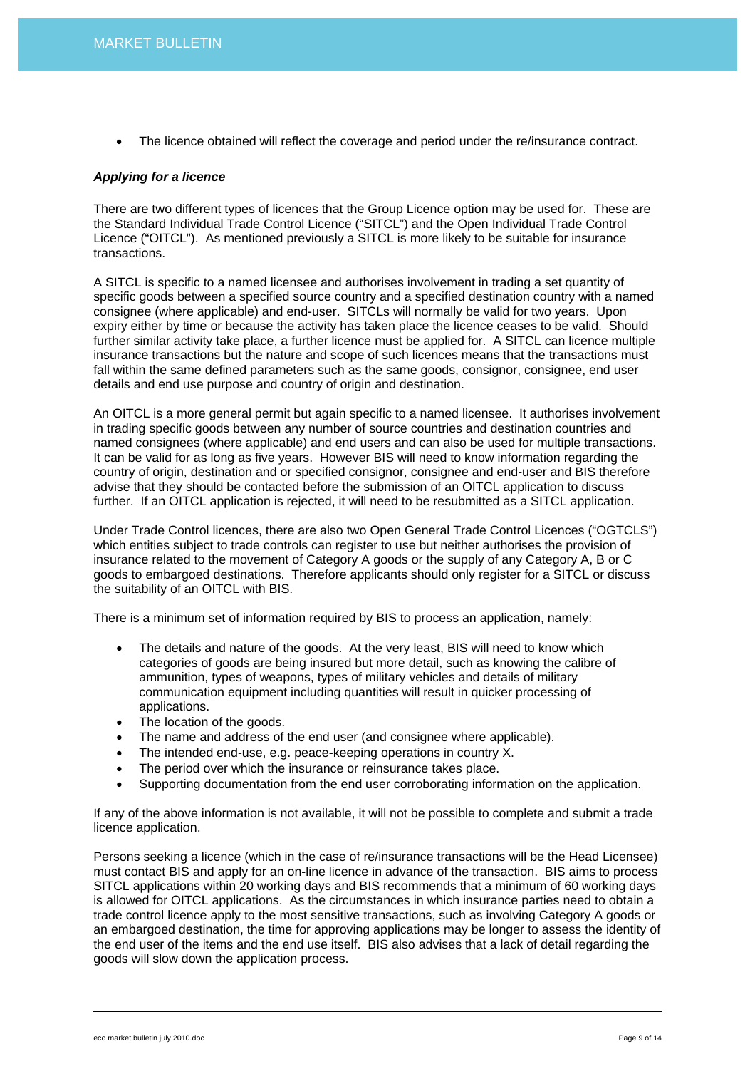• The licence obtained will reflect the coverage and period under the re/insurance contract.

#### *Applying for a licence*

There are two different types of licences that the Group Licence option may be used for. These are the Standard Individual Trade Control Licence ("SITCL") and the Open Individual Trade Control Licence ("OITCL"). As mentioned previously a SITCL is more likely to be suitable for insurance transactions.

A SITCL is specific to a named licensee and authorises involvement in trading a set quantity of specific goods between a specified source country and a specified destination country with a named consignee (where applicable) and end-user. SITCLs will normally be valid for two years. Upon expiry either by time or because the activity has taken place the licence ceases to be valid. Should further similar activity take place, a further licence must be applied for. A SITCL can licence multiple insurance transactions but the nature and scope of such licences means that the transactions must fall within the same defined parameters such as the same goods, consignor, consignee, end user details and end use purpose and country of origin and destination.

An OITCL is a more general permit but again specific to a named licensee. It authorises involvement in trading specific goods between any number of source countries and destination countries and named consignees (where applicable) and end users and can also be used for multiple transactions. It can be valid for as long as five years. However BIS will need to know information regarding the country of origin, destination and or specified consignor, consignee and end-user and BIS therefore advise that they should be contacted before the submission of an OITCL application to discuss further. If an OITCL application is rejected, it will need to be resubmitted as a SITCL application.

Under Trade Control licences, there are also two Open General Trade Control Licences ("OGTCLS") which entities subject to trade controls can register to use but neither authorises the provision of insurance related to the movement of Category A goods or the supply of any Category A, B or C goods to embargoed destinations. Therefore applicants should only register for a SITCL or discuss the suitability of an OITCL with BIS.

There is a minimum set of information required by BIS to process an application, namely:

- The details and nature of the goods. At the very least, BIS will need to know which categories of goods are being insured but more detail, such as knowing the calibre of ammunition, types of weapons, types of military vehicles and details of military communication equipment including quantities will result in quicker processing of applications.
- The location of the goods.
- The name and address of the end user (and consignee where applicable).
- The intended end-use, e.g. peace-keeping operations in country X.
- The period over which the insurance or reinsurance takes place.
- Supporting documentation from the end user corroborating information on the application.

If any of the above information is not available, it will not be possible to complete and submit a trade licence application.

Persons seeking a licence (which in the case of re/insurance transactions will be the Head Licensee) must contact BIS and apply for an on-line licence in advance of the transaction. BIS aims to process SITCL applications within 20 working days and BIS recommends that a minimum of 60 working days is allowed for OITCL applications. As the circumstances in which insurance parties need to obtain a trade control licence apply to the most sensitive transactions, such as involving Category A goods or an embargoed destination, the time for approving applications may be longer to assess the identity of the end user of the items and the end use itself. BIS also advises that a lack of detail regarding the goods will slow down the application process.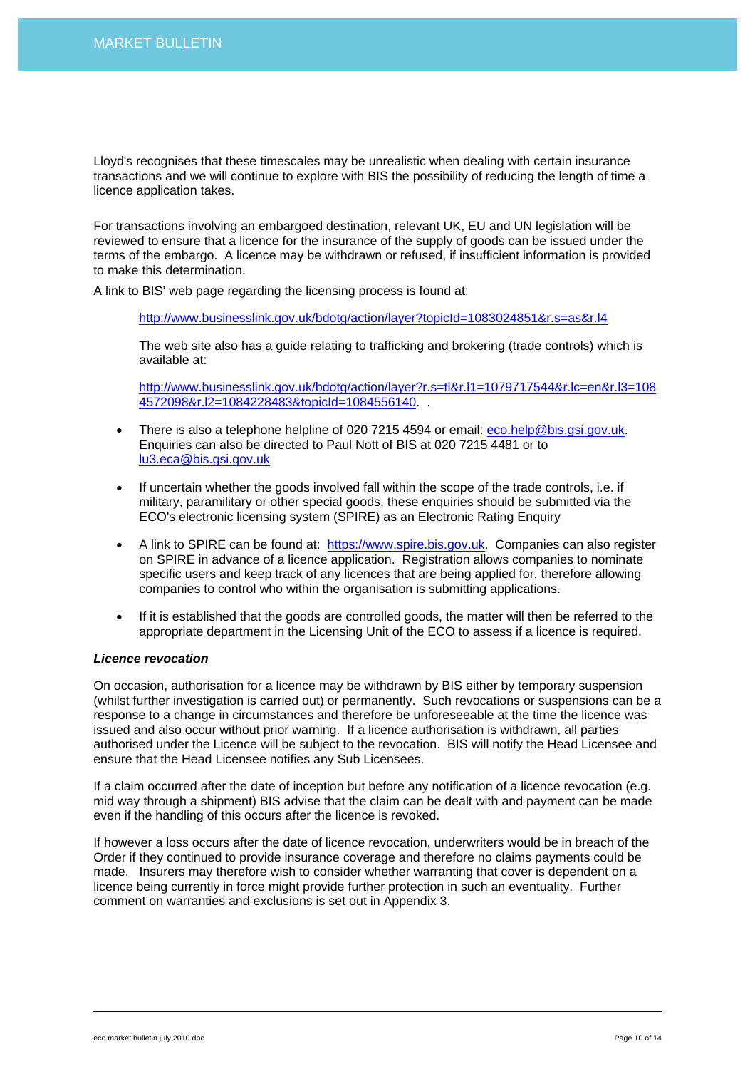Lloyd's recognises that these timescales may be unrealistic when dealing with certain insurance transactions and we will continue to explore with BIS the possibility of reducing the length of time a licence application takes.

For transactions involving an embargoed destination, relevant UK, EU and UN legislation will be reviewed to ensure that a licence for the insurance of the supply of goods can be issued under the terms of the embargo. A licence may be withdrawn or refused, if insufficient information is provided to make this determination.

A link to BIS' web page regarding the licensing process is found at:

<http://www.businesslink.gov.uk/bdotg/action/layer?topicId=1083024851&r.s=as&r.l4>

The web site also has a guide relating to trafficking and brokering (trade controls) which is available at:

[http://www.businesslink.gov.uk/bdotg/action/layer?r.s=tl&r.l1=1079717544&r.lc=en&r.l3=108](http://www.businesslink.gov.uk/bdotg/action/layer?r.s=tl&r.l1=1079717544&r.lc=en&r.l3=1084572098&r.l2=1084228483&topicId=1084556140) [4572098&r.l2=1084228483&topicId=1084556140](http://www.businesslink.gov.uk/bdotg/action/layer?r.s=tl&r.l1=1079717544&r.lc=en&r.l3=1084572098&r.l2=1084228483&topicId=1084556140). .

- There is also a telephone helpline of 020 7215 4594 or email: [eco.help@bis.gsi.gov.uk](mailto:eco.help@bis.gsi.gov.uk). Enquiries can also be directed to Paul Nott of BIS at 020 7215 4481 or to [lu3.eca@bis.gsi.gov.uk](mailto:lu3.eca@bis.gsi.gov.uk)
- If uncertain whether the goods involved fall within the scope of the trade controls, i.e. if military, paramilitary or other special goods, these enquiries should be submitted via the ECO's electronic licensing system (SPIRE) as an Electronic Rating Enquiry
- A link to SPIRE can be found at: [https://www.spire.bis.gov.uk](https://www.spire.bis.gov.uk/). Companies can also register on SPIRE in advance of a licence application. Registration allows companies to nominate specific users and keep track of any licences that are being applied for, therefore allowing companies to control who within the organisation is submitting applications.
- If it is established that the goods are controlled goods, the matter will then be referred to the appropriate department in the Licensing Unit of the ECO to assess if a licence is required.

## *Licence revocation*

On occasion, authorisation for a licence may be withdrawn by BIS either by temporary suspension (whilst further investigation is carried out) or permanently. Such revocations or suspensions can be a response to a change in circumstances and therefore be unforeseeable at the time the licence was issued and also occur without prior warning. If a licence authorisation is withdrawn, all parties authorised under the Licence will be subject to the revocation. BIS will notify the Head Licensee and ensure that the Head Licensee notifies any Sub Licensees.

If a claim occurred after the date of inception but before any notification of a licence revocation (e.g. mid way through a shipment) BIS advise that the claim can be dealt with and payment can be made even if the handling of this occurs after the licence is revoked.

If however a loss occurs after the date of licence revocation, underwriters would be in breach of the Order if they continued to provide insurance coverage and therefore no claims payments could be made. Insurers may therefore wish to consider whether warranting that cover is dependent on a licence being currently in force might provide further protection in such an eventuality. Further comment on warranties and exclusions is set out in Appendix 3.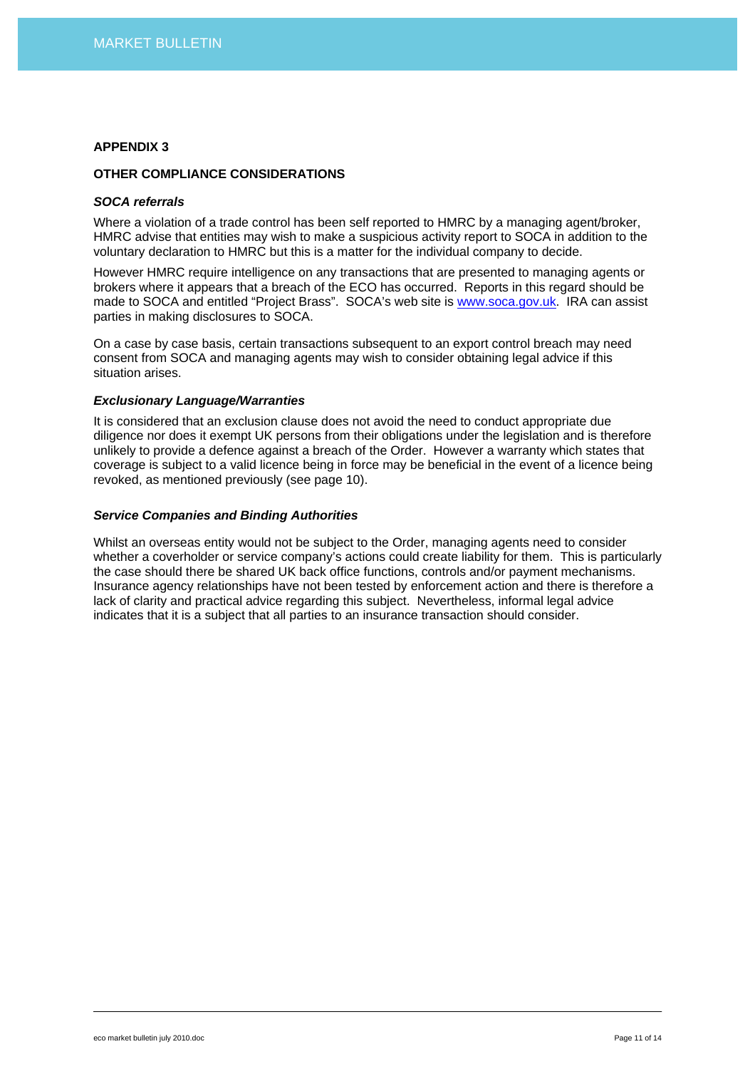# **OTHER COMPLIANCE CONSIDERATIONS**

#### *SOCA referrals*

Where a violation of a trade control has been self reported to HMRC by a managing agent/broker. HMRC advise that entities may wish to make a suspicious activity report to SOCA in addition to the voluntary declaration to HMRC but this is a matter for the individual company to decide.

However HMRC require intelligence on any transactions that are presented to managing agents or brokers where it appears that a breach of the ECO has occurred. Reports in this regard should be made to SOCA and entitled "Project Brass". SOCA's web site is [www.soca.gov.uk](http://www.soca.gov.uk/). IRA can assist parties in making disclosures to SOCA.

On a case by case basis, certain transactions subsequent to an export control breach may need consent from SOCA and managing agents may wish to consider obtaining legal advice if this situation arises.

# *Exclusionary Language/Warranties*

It is considered that an exclusion clause does not avoid the need to conduct appropriate due diligence nor does it exempt UK persons from their obligations under the legislation and is therefore unlikely to provide a defence against a breach of the Order. However a warranty which states that coverage is subject to a valid licence being in force may be beneficial in the event of a licence being revoked, as mentioned previously (see page 10).

## *Service Companies and Binding Authorities*

Whilst an overseas entity would not be subject to the Order, managing agents need to consider whether a coverholder or service company's actions could create liability for them. This is particularly the case should there be shared UK back office functions, controls and/or payment mechanisms. Insurance agency relationships have not been tested by enforcement action and there is therefore a lack of clarity and practical advice regarding this subject. Nevertheless, informal legal advice indicates that it is a subject that all parties to an insurance transaction should consider.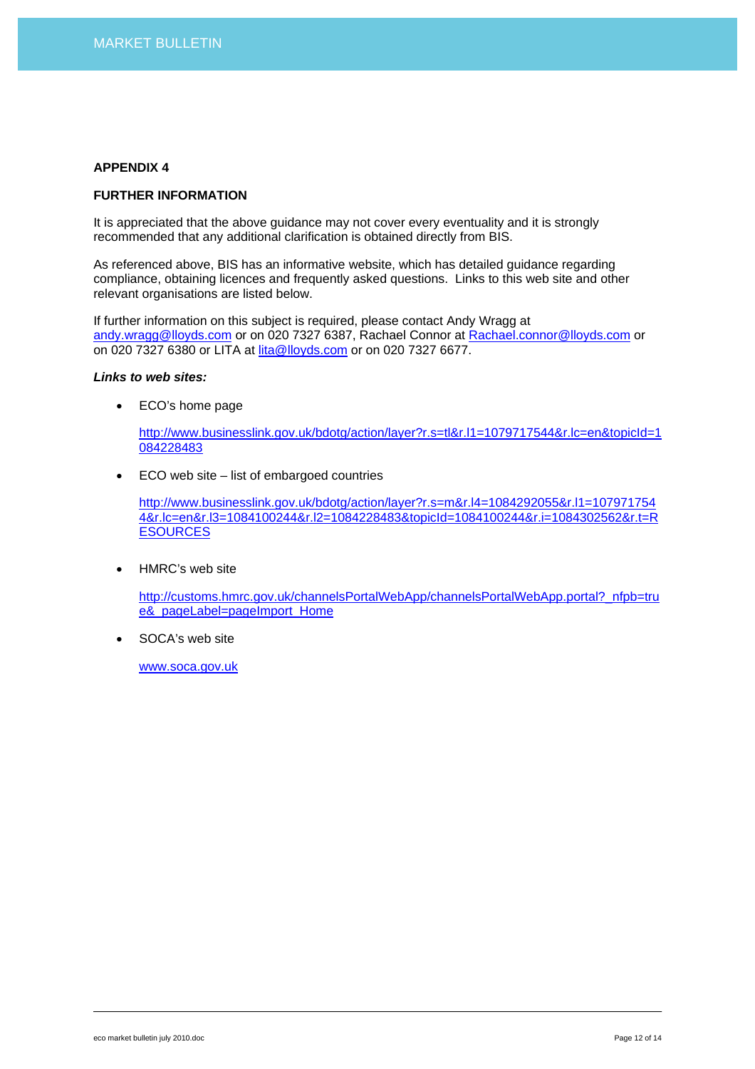#### **FURTHER INFORMATION**

It is appreciated that the above guidance may not cover every eventuality and it is strongly recommended that any additional clarification is obtained directly from BIS.

As referenced above, BIS has an informative website, which has detailed guidance regarding compliance, obtaining licences and frequently asked questions. Links to this web site and other relevant organisations are listed below.

If further information on this subject is required, please contact Andy Wragg at [andy.wragg@lloyds.com](mailto:andy.wragg@lloyds.com) or on 020 7327 6387, Rachael Connor at [Rachael.connor@lloyds.com](mailto:Rachael.connor@lloyds.com) or on 020 7327 6380 or LITA at [lita@lloyds.com](mailto:lita@lloyds.com) or on 020 7327 6677.

#### *Links to web sites:*

• ECO's home page

[http://www.businesslink.gov.uk/bdotg/action/layer?r.s=tl&r.l1=1079717544&r.lc=en&topicId=1](http://www.businesslink.gov.uk/bdotg/action/layer?r.s=tl&r.l1=1079717544&r.lc=en&topicId=1084228483) [084228483](http://www.businesslink.gov.uk/bdotg/action/layer?r.s=tl&r.l1=1079717544&r.lc=en&topicId=1084228483)

• ECO web site – list of embargoed countries

[http://www.businesslink.gov.uk/bdotg/action/layer?r.s=m&r.l4=1084292055&r.l1=107971754](http://www.businesslink.gov.uk/bdotg/action/layer?r.s=m&r.l4=1084292055&r.l1=1079717544&r.lc=en&r.l3=1084100244&r.l2=1084228483&topicId=1084100244&r.i=1084302562&r.t=RESOURCES) [4&r.lc=en&r.l3=1084100244&r.l2=1084228483&topicId=1084100244&r.i=1084302562&r.t=R](http://www.businesslink.gov.uk/bdotg/action/layer?r.s=m&r.l4=1084292055&r.l1=1079717544&r.lc=en&r.l3=1084100244&r.l2=1084228483&topicId=1084100244&r.i=1084302562&r.t=RESOURCES) **[ESOURCES](http://www.businesslink.gov.uk/bdotg/action/layer?r.s=m&r.l4=1084292055&r.l1=1079717544&r.lc=en&r.l3=1084100244&r.l2=1084228483&topicId=1084100244&r.i=1084302562&r.t=RESOURCES)** 

• HMRC's web site

[http://customs.hmrc.gov.uk/channelsPortalWebApp/channelsPortalWebApp.portal?\\_nfpb=tru](http://customs.hmrc.gov.uk/channelsPortalWebApp/channelsPortalWebApp.portal?_nfpb=true&_pageLabel=pageImport_Home) [e&\\_pageLabel=pageImport\\_Home](http://customs.hmrc.gov.uk/channelsPortalWebApp/channelsPortalWebApp.portal?_nfpb=true&_pageLabel=pageImport_Home)

SOCA's web site

[www.soca.gov.uk](http://www.soca.gov.uk/)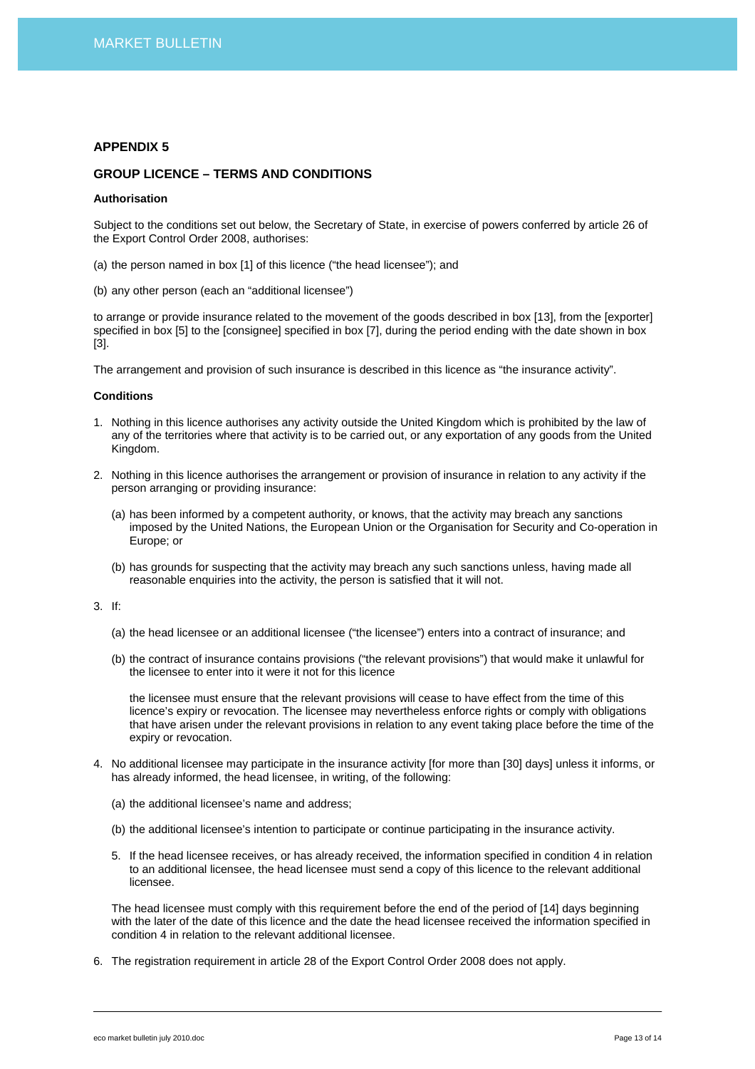# **GROUP LICENCE – TERMS AND CONDITIONS**

#### **Authorisation**

Subject to the conditions set out below, the Secretary of State, in exercise of powers conferred by article 26 of the Export Control Order 2008, authorises:

- (a) the person named in box [1] of this licence ("the head licensee"); and
- (b) any other person (each an "additional licensee")

to arrange or provide insurance related to the movement of the goods described in box [13], from the [exporter] specified in box [5] to the [consignee] specified in box [7], during the period ending with the date shown in box [3].

The arrangement and provision of such insurance is described in this licence as "the insurance activity".

#### **Conditions**

- 1. Nothing in this licence authorises any activity outside the United Kingdom which is prohibited by the law of any of the territories where that activity is to be carried out, or any exportation of any goods from the United Kingdom.
- 2. Nothing in this licence authorises the arrangement or provision of insurance in relation to any activity if the person arranging or providing insurance:
	- (a) has been informed by a competent authority, or knows, that the activity may breach any sanctions imposed by the United Nations, the European Union or the Organisation for Security and Co-operation in Europe; or
	- (b) has grounds for suspecting that the activity may breach any such sanctions unless, having made all reasonable enquiries into the activity, the person is satisfied that it will not.

3. If:

- (a) the head licensee or an additional licensee ("the licensee") enters into a contract of insurance; and
- (b) the contract of insurance contains provisions ("the relevant provisions") that would make it unlawful for the licensee to enter into it were it not for this licence

the licensee must ensure that the relevant provisions will cease to have effect from the time of this licence's expiry or revocation. The licensee may nevertheless enforce rights or comply with obligations that have arisen under the relevant provisions in relation to any event taking place before the time of the expiry or revocation.

- 4. No additional licensee may participate in the insurance activity [for more than [30] days] unless it informs, or has already informed, the head licensee, in writing, of the following:
	- (a) the additional licensee's name and address;
	- (b) the additional licensee's intention to participate or continue participating in the insurance activity.
	- 5. If the head licensee receives, or has already received, the information specified in condition 4 in relation to an additional licensee, the head licensee must send a copy of this licence to the relevant additional licensee.

The head licensee must comply with this requirement before the end of the period of [14] days beginning with the later of the date of this licence and the date the head licensee received the information specified in condition 4 in relation to the relevant additional licensee.

6. The registration requirement in article 28 of the Export Control Order 2008 does not apply.